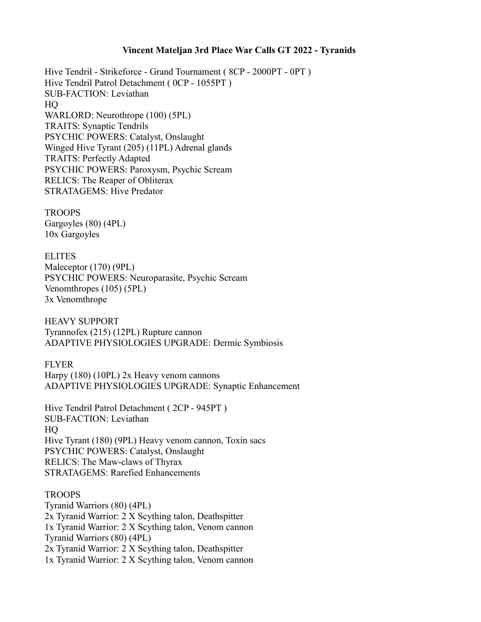## **Vincent Mateljan 3rd Place War Calls GT 2022 - Tyranids**

Hive Tendril - Strikeforce - Grand Tournament ( 8CP - 2000PT - 0PT ) Hive Tendril Patrol Detachment ( 0CP - 1055PT ) SUB-FACTION: Leviathan HQ WARLORD: Neurothrope (100) (5PL) TRAITS: Synaptic Tendrils PSYCHIC POWERS: Catalyst, Onslaught Winged Hive Tyrant (205) (11PL) Adrenal glands TRAITS: Perfectly Adapted PSYCHIC POWERS: Paroxysm, Psychic Scream RELICS: The Reaper of Obliterax STRATAGEMS: Hive Predator

**TROOPS** Gargoyles (80) (4PL) 10x Gargoyles

ELITES Maleceptor (170) (9PL) PSYCHIC POWERS: Neuroparasite, Psychic Scream Venomthropes (105) (5PL) 3x Venomthrope

HEAVY SUPPORT Tyrannofex (215) (12PL) Rupture cannon ADAPTIVE PHYSIOLOGIES UPGRADE: Dermic Symbiosis

**FLYER** Harpy (180) (10PL) 2x Heavy venom cannons ADAPTIVE PHYSIOLOGIES UPGRADE: Synaptic Enhancement

Hive Tendril Patrol Detachment ( 2CP - 945PT ) SUB-FACTION: Leviathan HQ Hive Tyrant (180) (9PL) Heavy venom cannon, Toxin sacs PSYCHIC POWERS: Catalyst, Onslaught RELICS: The Maw-claws of Thyrax STRATAGEMS: Rarefied Enhancements

## TROOPS

Tyranid Warriors (80) (4PL) 2x Tyranid Warrior: 2 X Scything talon, Deathspitter 1x Tyranid Warrior: 2 X Scything talon, Venom cannon Tyranid Warriors (80) (4PL) 2x Tyranid Warrior: 2 X Scything talon, Deathspitter 1x Tyranid Warrior: 2 X Scything talon, Venom cannon